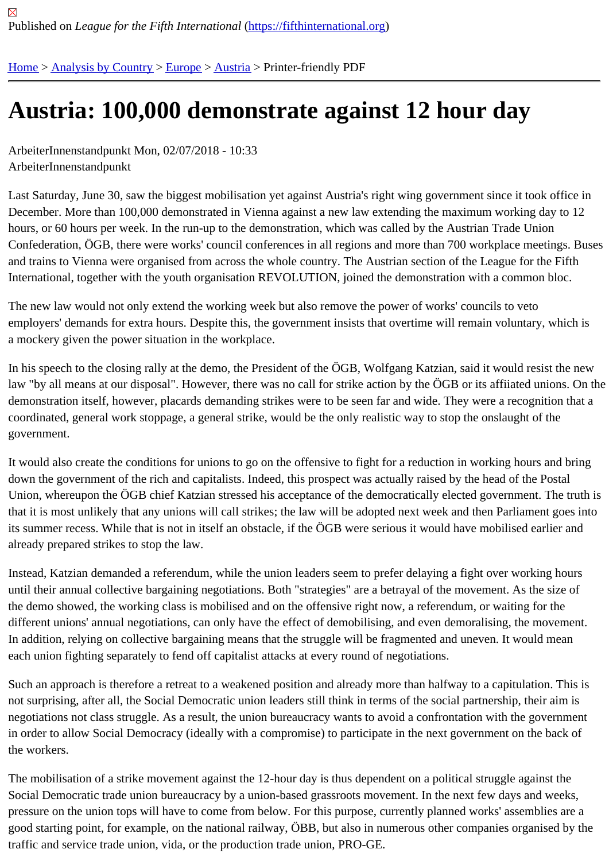## [Au](https://fifthinternational.org/)s[tria: 100,0](https://fifthinternational.org/category/1)[00 d](https://fifthinternational.org/category/1/128)[emo](https://fifthinternational.org/category/1/128/132)nstrate against 12 hour day

ArbeiterInnenstandpunkt Mon, 02/07/2018 - 10:33 ArbeiterInnenstandpunkt

Last Saturday, June 30, saw the biggest mobilisation yet against Austria's right wing government since it took offic December. More than 100,000 demonstrated in Vienna against a new law extending the maximum working day to hours, or 60 hours per week. In the run-up to the demonstration, which was called by the Austrian Trade Union Confederation, ÖGB, there were works' council conferences in all regions and more than 700 workplace meetings. and trains to Vienna were organised from across the whole country. The Austrian section of the League for the Fif International, together with the youth organisation REVOLUTION, joined the demonstration with a common bloc.

The new law would not only extend the working week but also remove the power of works' councils to veto employers' demands for extra hours. Despite this, the government insists that overtime will remain voluntary, whic a mockery given the power situation in the workplace.

In his speech to the closing rally at the demo, the President of the ÖGB, Wolfgang Katzian, said it would resist the law "by all means at our disposal". However, there was no call for strike action by the OGB or its affiiated unions. O demonstration itself, however, placards demanding strikes were to be seen far and wide. They were a recognition coordinated, general work stoppage, a general strike, would be the only realistic way to stop the onslaught of the government.

It would also create the conditions for unions to go on the offensive to fight for a reduction in working hours and bri down the government of the rich and capitalists. Indeed, this prospect was actually raised by the head of the Posta Union, whereupon the ÖGB chief Katzian stressed his acceptance of the democratically elected government. The that it is most unlikely that any unions will call strikes; the law will be adopted next week and then Parliament goes its summer recess. While that is not in itself an obstacle, if the ÖGB were serious it would have mobilised earlier a already prepared strikes to stop the law.

Instead, Katzian demanded a referendum, while the union leaders seem to prefer delaying a fight over working ho until their annual collective bargaining negotiations. Both "strategies" are a betrayal of the movement. As the size the demo showed, the working class is mobilised and on the offensive right now, a referendum, or waiting for the different unions' annual negotiations, can only have the effect of demobilising, and even demoralising, the movem In addition, relying on collective bargaining means that the struggle will be fragmented and uneven. It would mean each union fighting separately to fend off capitalist attacks at every round of negotiations.

Such an approach is therefore a retreat to a weakened position and already more than halfway to a capitulation. T not surprising, after all, the Social Democratic union leaders still think in terms of the social partnership, their aim is negotiations not class struggle. As a result, the union bureaucracy wants to avoid a confrontation with the governn in order to allow Social Democracy (ideally with a compromise) to participate in the next government on the back o the workers.

The mobilisation of a strike movement against the 12-hour day is thus dependent on a political struggle against the Social Democratic trade union bureaucracy by a union-based grassroots movement. In the next few days and wee pressure on the union tops will have to come from below. For this purpose, currently planned works' assemblies ar good starting point, for example, on the national railway, ÖBB, but also in numerous other companies organised b traffic and service trade union, vida, or the production trade union, PRO-GE.